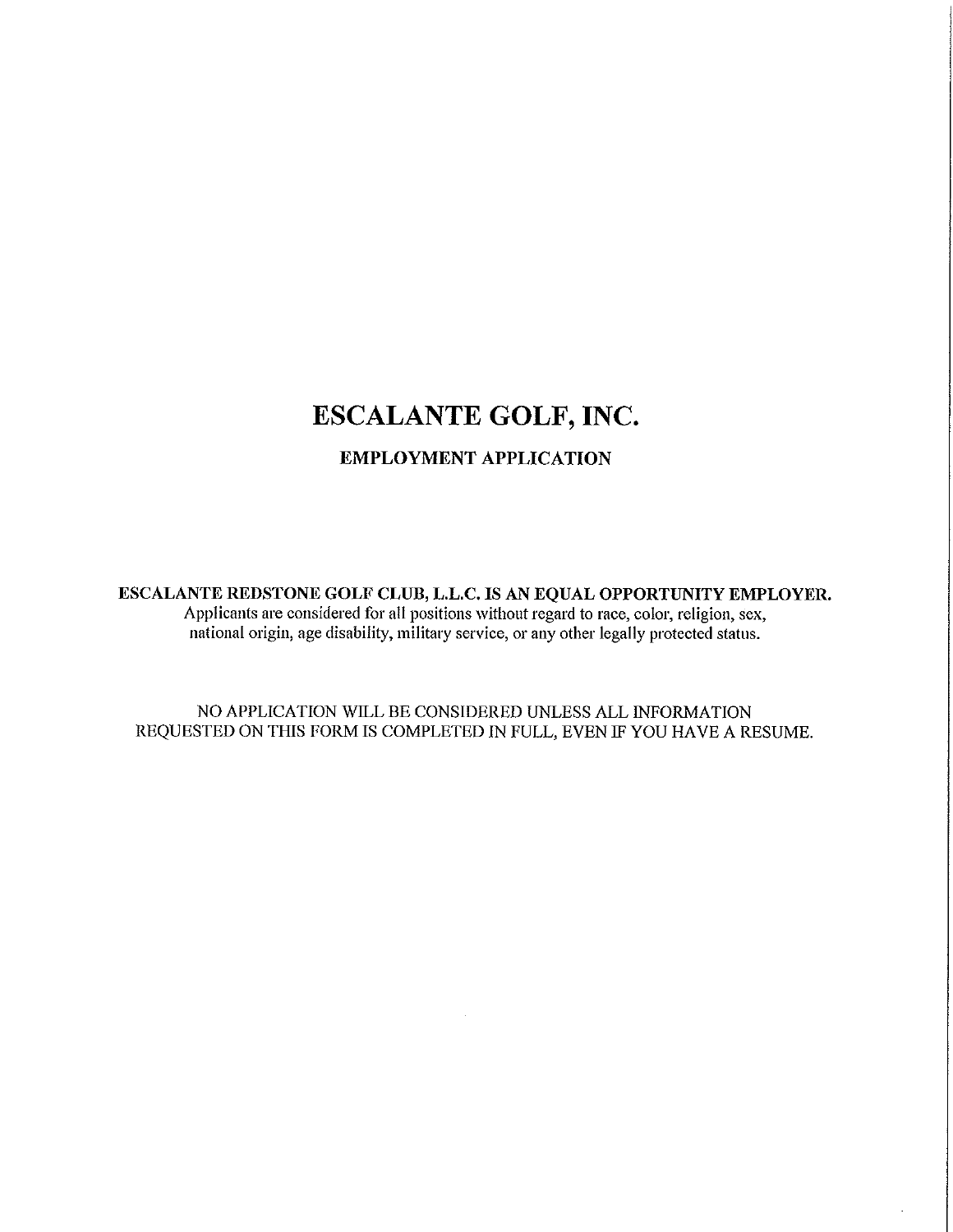# ESCALANTE GOLF, INC.

### **EMPLOYMENT APPLICATION**

ESCALANTE REDSTONE GOLF CLUB, L.L.C. IS AN EQUAL OPPORTUNITY EMPLOYER. Applicants are considered for all positions without regard to race, color, religion, sex, national origin, age disability, military service, or any other legally protected status.

NO APPLICATION WILL BE CONSIDERED UNLESS ALL INFORMATION REQUESTED ON THIS FORM IS COMPLETED IN FULL, EVEN IF YOU HAVE A RESUME.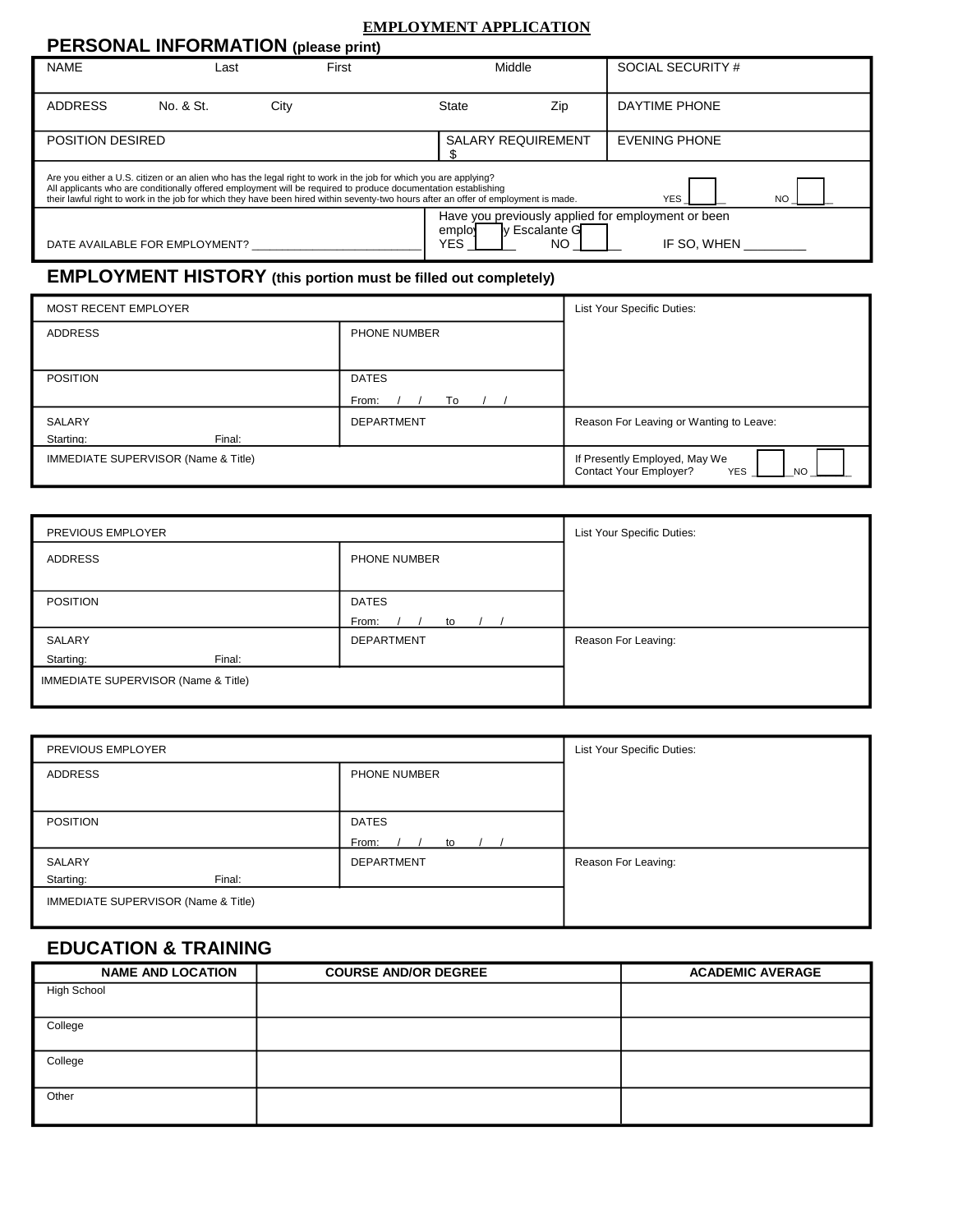#### **EMPLOYMENT APPLICATION**

| <b>PERSONAL INFORMATION</b> (please print)                                                                                                                                                                                                                                                                                                                                                                |           |       |                           |                      |                                                                   |  |
|-----------------------------------------------------------------------------------------------------------------------------------------------------------------------------------------------------------------------------------------------------------------------------------------------------------------------------------------------------------------------------------------------------------|-----------|-------|---------------------------|----------------------|-------------------------------------------------------------------|--|
| <b>NAME</b>                                                                                                                                                                                                                                                                                                                                                                                               | ∟ast      | First | Middle                    |                      | SOCIAL SECURITY #                                                 |  |
| <b>ADDRESS</b>                                                                                                                                                                                                                                                                                                                                                                                            | No. & St. | City  | <b>State</b>              | Zip                  | DAYTIME PHONE                                                     |  |
| POSITION DESIRED                                                                                                                                                                                                                                                                                                                                                                                          |           |       | <b>SALARY REQUIREMENT</b> |                      | <b>EVENING PHONE</b>                                              |  |
| Are you either a U.S. citizen or an alien who has the legal right to work in the job for which you are applying?<br>All applicants who are conditionally offered employment will be required to produce documentation establishing<br>their lawful right to work in the job for which they have been hired within seventy-two hours after an offer of employment is made.<br><b>YES</b><br>N <sub>O</sub> |           |       |                           |                      |                                                                   |  |
| DATE AVAILABLE FOR EMPLOYMENT?                                                                                                                                                                                                                                                                                                                                                                            |           |       | emplo<br>YES              | ly Escalante G<br>NΟ | Have you previously applied for employment or been<br>IF SO. WHEN |  |

## **EMPLOYMENT HISTORY (this portion must be filled out completely)**

| MOST RECENT EMPLOYER                           |                     | List Your Specific Duties:                                                   |
|------------------------------------------------|---------------------|------------------------------------------------------------------------------|
| <b>ADDRESS</b>                                 | <b>PHONE NUMBER</b> |                                                                              |
|                                                |                     |                                                                              |
| <b>POSITION</b>                                | <b>DATES</b>        |                                                                              |
|                                                | To<br>From:         |                                                                              |
| SALARY                                         | <b>DEPARTMENT</b>   | Reason For Leaving or Wanting to Leave:                                      |
| Starting:<br>Final:                            |                     |                                                                              |
| <b>IMMEDIATE SUPERVISOR (Name &amp; Title)</b> |                     | If Presently Employed, May We<br>Contact Your Employer?<br><b>YES</b><br>NO. |

| PREVIOUS EMPLOYER                   |                   | List Your Specific Duties: |
|-------------------------------------|-------------------|----------------------------|
| ADDRESS                             | PHONE NUMBER      |                            |
|                                     |                   |                            |
| <b>POSITION</b>                     | <b>DATES</b>      |                            |
|                                     | From:<br>to       |                            |
| SALARY                              | <b>DEPARTMENT</b> | Reason For Leaving:        |
| Starting:<br>Final:                 |                   |                            |
| IMMEDIATE SUPERVISOR (Name & Title) |                   |                            |
|                                     |                   |                            |

| PREVIOUS EMPLOYER                              | List Your Specific Duties: |                     |
|------------------------------------------------|----------------------------|---------------------|
| ADDRESS                                        | PHONE NUMBER               |                     |
|                                                |                            |                     |
| <b>POSITION</b>                                | <b>DATES</b>               |                     |
|                                                | From:<br>to                |                     |
| SALARY                                         | <b>DEPARTMENT</b>          | Reason For Leaving: |
| Starting:<br>Final:                            |                            |                     |
| <b>IMMEDIATE SUPERVISOR (Name &amp; Title)</b> |                            |                     |

### **EDUCATION & TRAINING**

| <b>NAME AND LOCATION</b> | <b>COURSE AND/OR DEGREE</b> | <b>ACADEMIC AVERAGE</b> |
|--------------------------|-----------------------------|-------------------------|
| <b>High School</b>       |                             |                         |
|                          |                             |                         |
| College                  |                             |                         |
| College                  |                             |                         |
| Other                    |                             |                         |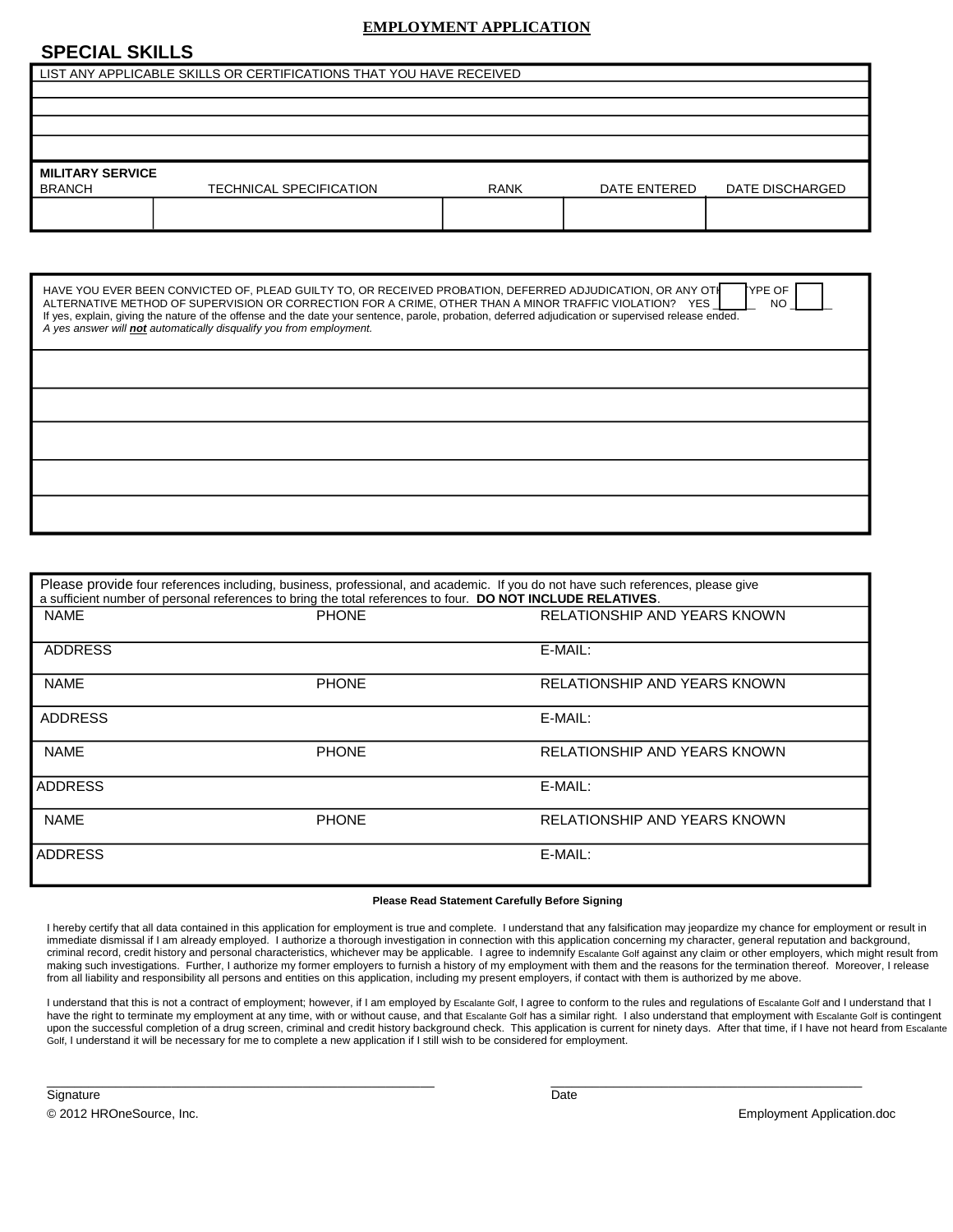#### **EMPLOYMENT APPLICATION**

#### **SPECIAL SKILLS**

|                                          | LIST ANY APPLICABLE SKILLS OR CERTIFICATIONS THAT YOU HAVE RECEIVED |             |              |                 |
|------------------------------------------|---------------------------------------------------------------------|-------------|--------------|-----------------|
|                                          |                                                                     |             |              |                 |
|                                          |                                                                     |             |              |                 |
|                                          |                                                                     |             |              |                 |
|                                          |                                                                     |             |              |                 |
| <b>MILITARY SERVICE</b><br><b>BRANCH</b> | <b>TECHNICAL SPECIFICATION</b>                                      | <b>RANK</b> | DATE ENTERED | DATE DISCHARGED |
|                                          |                                                                     |             |              |                 |

| HAVE YOU EVER BEEN CONVICTED OF, PLEAD GUILTY TO, OR RECEIVED PROBATION, DEFERRED ADJUDICATION, OR ANY OTH<br>TYPE OF<br>ALTERNATIVE METHOD OF SUPERVISION OR CORRECTION FOR A CRIME, OTHER THAN A MINOR TRAFFIC VIOLATION? YES<br>NO<br>If yes, explain, giving the nature of the offense and the date your sentence, parole, probation, deferred adjudication or supervised release ended.<br>A yes answer will not automatically disqualify you from employment. |
|---------------------------------------------------------------------------------------------------------------------------------------------------------------------------------------------------------------------------------------------------------------------------------------------------------------------------------------------------------------------------------------------------------------------------------------------------------------------|
|                                                                                                                                                                                                                                                                                                                                                                                                                                                                     |
|                                                                                                                                                                                                                                                                                                                                                                                                                                                                     |
|                                                                                                                                                                                                                                                                                                                                                                                                                                                                     |
|                                                                                                                                                                                                                                                                                                                                                                                                                                                                     |
|                                                                                                                                                                                                                                                                                                                                                                                                                                                                     |

|                | a sufficient number of personal references to bring the total references to four. DO NOT INCLUDE RELATIVES. | Please provide four references including, business, professional, and academic. If you do not have such references, please give |
|----------------|-------------------------------------------------------------------------------------------------------------|---------------------------------------------------------------------------------------------------------------------------------|
| <b>NAME</b>    | <b>PHONE</b>                                                                                                | RELATIONSHIP AND YEARS KNOWN                                                                                                    |
| <b>ADDRESS</b> |                                                                                                             | E-MAIL:                                                                                                                         |
| <b>NAME</b>    | <b>PHONE</b>                                                                                                | RELATIONSHIP AND YEARS KNOWN                                                                                                    |
| <b>ADDRESS</b> |                                                                                                             | E-MAIL:                                                                                                                         |
| <b>NAME</b>    | <b>PHONE</b>                                                                                                | RELATIONSHIP AND YEARS KNOWN                                                                                                    |
| <b>ADDRESS</b> |                                                                                                             | E-MAIL:                                                                                                                         |
| <b>NAME</b>    | <b>PHONE</b>                                                                                                | RELATIONSHIP AND YEARS KNOWN                                                                                                    |
| <b>ADDRESS</b> |                                                                                                             | E-MAIL:                                                                                                                         |

#### **Please Read Statement Carefully Before Signing**

I hereby certify that all data contained in this application for employment is true and complete. I understand that any falsification may jeopardize my chance for employment or result in immediate dismissal if I am already employed. I authorize a thorough investigation in connection with this application concerning my character, general reputation and background, criminal record, credit history and personal characteristics, whichever may be applicable. I agree to indemnify Escalante Golf against any claim or other employers, which might result from making such investigations. Further, I authorize my former employers to furnish a history of my employment with them and the reasons for the termination thereof. Moreover, I release from all liability and responsibility all persons and entities on this application, including my present employers, if contact with them is authorized by me above.

I understand that this is not a contract of employment; however, if I am employed by Escalante Golf, I agree to conform to the rules and regulations of Escalante Golf and I understand that I have the right to terminate my employment at any time, with or without cause, and that Escalante Golf has a similar right. I also understand that employment with Escalante Golf is contingent upon the successful completion of a drug screen, criminal and credit history background check. This application is current for ninety days. After that time, if I have not heard from Escalante Golf, I understand it will be necessary for me to complete a new application if I still wish to be considered for employment.